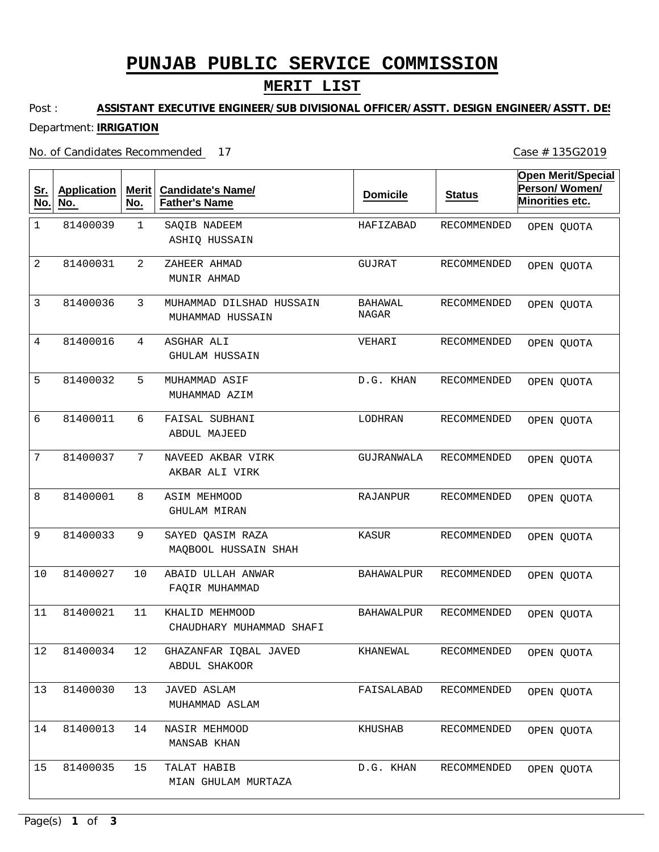# **PUNJAB PUBLIC SERVICE COMMISSION**

## **MERIT LIST**

#### Post : Department: **IRRIGATION ASSISTANT EXECUTIVE ENGINEER/SUB DIVISIONAL OFFICER/ASSTT. DESIGN ENGINEER/ASSTT. DES**

No. of Candidates Recommended 17

Case # 135G2019

| <u>Sr.</u><br>No. | <b>Application</b><br>No. | Merit<br>No. | <b>Candidate's Name/</b><br><b>Father's Name</b> | <b>Domicile</b>         | <b>Status</b>      | <b>Open Merit/Special</b><br>Person/Women/<br>Minorities etc. |
|-------------------|---------------------------|--------------|--------------------------------------------------|-------------------------|--------------------|---------------------------------------------------------------|
| 1                 | 81400039                  | $\mathbf 1$  | SAQIB NADEEM<br>ASHIQ HUSSAIN                    | HAFIZABAD               | RECOMMENDED        | OPEN QUOTA                                                    |
| 2                 | 81400031                  | 2            | ZAHEER AHMAD<br>MUNIR AHMAD                      | GUJRAT                  | RECOMMENDED        | OPEN QUOTA                                                    |
| 3                 | 81400036                  | 3            | MUHAMMAD DILSHAD HUSSAIN<br>MUHAMMAD HUSSAIN     | <b>BAHAWAL</b><br>NAGAR | RECOMMENDED        | OPEN QUOTA                                                    |
| 4                 | 81400016                  | 4            | ASGHAR ALI<br><b>GHULAM HUSSAIN</b>              | VEHARI                  | RECOMMENDED        | OPEN QUOTA                                                    |
| 5                 | 81400032                  | 5            | MUHAMMAD ASIF<br>MUHAMMAD AZIM                   | D.G. KHAN               | RECOMMENDED        | OPEN QUOTA                                                    |
| 6                 | 81400011                  | 6            | FAISAL SUBHANI<br><b>ABDUL MAJEED</b>            | LODHRAN                 | RECOMMENDED        | OPEN QUOTA                                                    |
| 7                 | 81400037                  | 7            | NAVEED AKBAR VIRK<br>AKBAR ALI VIRK              | GUJRANWALA              | RECOMMENDED        | OPEN QUOTA                                                    |
| 8                 | 81400001                  | 8            | <b>ASIM MEHMOOD</b><br>GHULAM MIRAN              | RAJANPUR                | RECOMMENDED        | OPEN QUOTA                                                    |
| 9                 | 81400033                  | 9            | SAYED QASIM RAZA<br>MAQBOOL HUSSAIN SHAH         | KASUR                   | RECOMMENDED        | OPEN QUOTA                                                    |
| 10                | 81400027                  | 10           | ABAID ULLAH ANWAR<br>FAQIR MUHAMMAD              | <b>BAHAWALPUR</b>       | RECOMMENDED        | OPEN QUOTA                                                    |
| 11                | 81400021                  | 11           | KHALID MEHMOOD<br>CHAUDHARY MUHAMMAD SHAFI       | <b>BAHAWALPUR</b>       | RECOMMENDED        | OPEN QUOTA                                                    |
| $12$              | 81400034                  | 12           | GHAZANFAR IQBAL JAVED<br>ABDUL SHAKOOR           | KHANEWAL                | RECOMMENDED        | OPEN QUOTA                                                    |
| 13                | 81400030                  | 13           | <b>JAVED ASLAM</b><br>MUHAMMAD ASLAM             | FAISALABAD              | RECOMMENDED        | OPEN QUOTA                                                    |
| 14                | 81400013                  | 14           | NASIR MEHMOOD<br>MANSAB KHAN                     | KHUSHAB                 | <b>RECOMMENDED</b> | OPEN QUOTA                                                    |
| 15                | 81400035                  | 15           | TALAT HABIB<br>MIAN GHULAM MURTAZA               | D.G. KHAN               | RECOMMENDED        | OPEN QUOTA                                                    |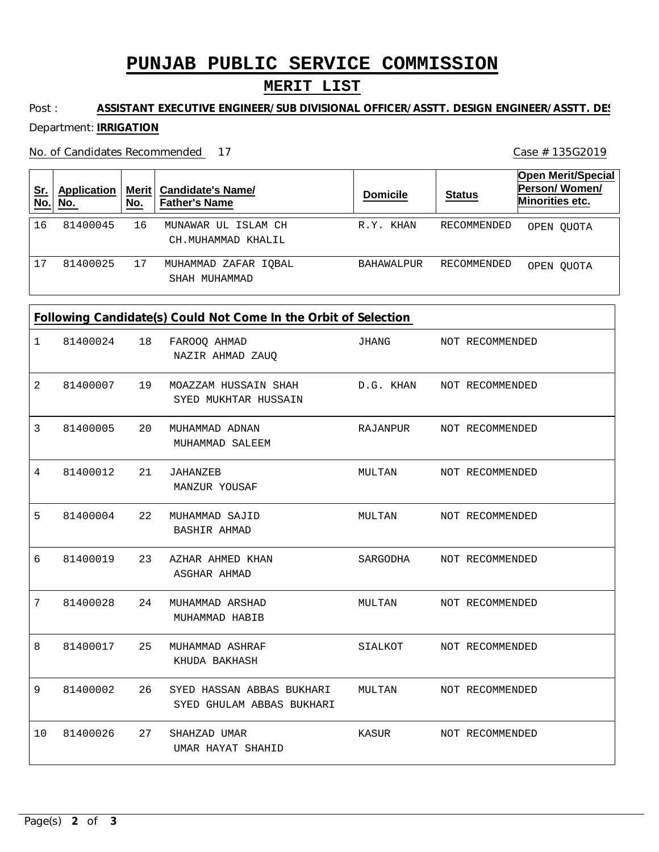## **PUNJAB PUBLIC SERVICE COMMISSION**

## **MERIT LIST**

#### Post : Department: **IRRIGATION ASSISTANT EXECUTIVE ENGINEER/SUB DIVISIONAL OFFICER/ASSTT. DESIGN ENGINEER/ASSTT. DES**

No. of Candidates Recommended

Case # 135G2019

| <u>่ Sr.</u><br>No. | <b>Application</b><br>No. | No. | Merit   Candidate's Name/<br><b>Father's Name</b> | <b>Domicile</b>   | <b>Status</b> | <b>Open Merit/Special</b><br>Person/Women/<br>Minorities etc. |
|---------------------|---------------------------|-----|---------------------------------------------------|-------------------|---------------|---------------------------------------------------------------|
| 16                  | 81400045                  | 16  | MUNAWAR UL ISLAM CH<br>CH.MUHAMMAD KHALIL         | R.Y. KHAN         | RECOMMENDED   | OPEN OUOTA                                                    |
| 17                  | 81400025                  | 17  | MUHAMMAD ZAFAR IOBAL<br>SHAH MUHAMMAD             | <b>BAHAWALPUR</b> | RECOMMENDED   | OPEN OUOTA                                                    |

### **Following Candidate(s) Could Not Come In the Orbit of Selection**

| 1  | 81400024 | 18 | FAROOQ AHMAD<br>NAZIR AHMAD ZAUQ                       | JHANG                     |  | NOT RECOMMENDED         |  |  |
|----|----------|----|--------------------------------------------------------|---------------------------|--|-------------------------|--|--|
| 2  | 81400007 | 19 | MOAZZAM HUSSAIN SHAH<br>SYED MUKHTAR HUSSAIN           | D.G. KHAN NOT RECOMMENDED |  |                         |  |  |
| 3  | 81400005 | 20 | MUHAMMAD ADNAN<br>MUHAMMAD SALEEM                      | RAJANPUR                  |  | NOT RECOMMENDED         |  |  |
| 4  | 81400012 | 21 | JAHANZEB<br>MANZUR YOUSAF                              | MULTAN                    |  | NOT RECOMMENDED         |  |  |
| 5  | 81400004 | 22 | MUHAMMAD SAJID<br><b>BASHIR AHMAD</b>                  | MULTAN                    |  | NOT RECOMMENDED         |  |  |
| 6  | 81400019 | 23 | AZHAR AHMED KHAN<br>ASGHAR AHMAD                       | SARGODHA                  |  | NOT RECOMMENDED         |  |  |
| 7  | 81400028 | 24 | MUHAMMAD ARSHAD<br>MUHAMMAD HABIB                      | MULTAN                    |  | NOT RECOMMENDED         |  |  |
| 8  | 81400017 | 25 | MUHAMMAD ASHRAF<br>KHUDA BAKHASH                       |                           |  | SIALKOT NOT RECOMMENDED |  |  |
| 9  | 81400002 | 26 | SYED HASSAN ABBAS BUKHARI<br>SYED GHULAM ABBAS BUKHARI | MULTAN                    |  | NOT RECOMMENDED         |  |  |
| 10 | 81400026 | 27 | SHAHZAD UMAR<br>UMAR HAYAT SHAHID                      |                           |  | KASUR NOT RECOMMENDED   |  |  |